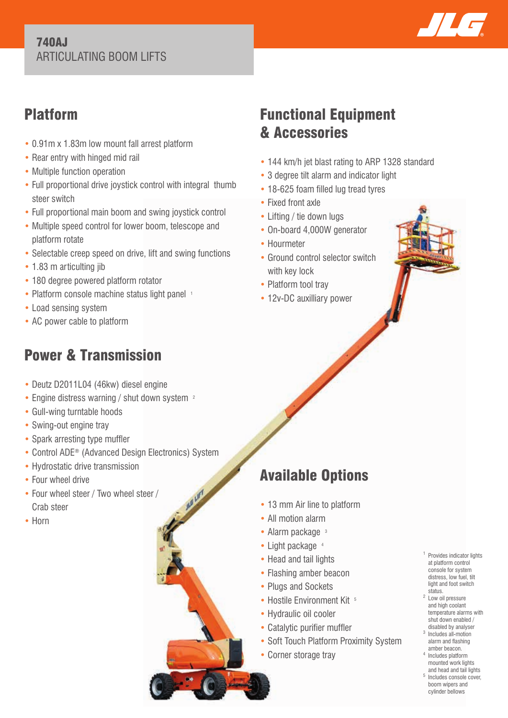### 740AJ ARTICULATING BOOM LIFTS



# Platform

- 0.91m x 1.83m low mount fall arrest platform
- Rear entry with hinged mid rail
- Multiple function operation
- Full proportional drive joystick control with integral thumb steer switch
- Full proportional main boom and swing joystick control
- Multiple speed control for lower boom, telescope and platform rotate
- Selectable creep speed on drive, lift and swing functions
- 1.83 m articulting jib
- 180 degree powered platform rotator
- Platform console machine status light panel 1
- Load sensing system
- AC power cable to platform

# Power & Transmission

- Deutz D2011L04 (46kw) diesel engine
- Engine distress warning / shut down system <sup>2</sup>
- Gull-wing turntable hoods
- Swing-out engine tray
- Spark arresting type muffler
- Control ADE® (Advanced Design Electronics) System
- Hydrostatic drive transmission
- Four wheel drive
- Four wheel steer / Two wheel steer / Crab steer
- Horn

# Functional Equipment & Accessories

- 144 km/h jet blast rating to ARP 1328 standard
- 3 degree tilt alarm and indicator light
- 18-625 foam filled lug tread tyres
- Fixed front axle
- Lifting / tie down lugs
- On-board 4,000W generator
- Hourmeter
- Ground control selector switch with key lock
- Platform tool tray
- 12v-DC auxilliary power

- Available Options
- 13 mm Air line to platform
- All motion alarm
- Alarm package 3
- Light package 4
- Head and tail lights
- Flashing amber beacon
- Plugs and Sockets
- Hostile Environment Kit 5
- Hydraulic oil cooler
- Catalytic purifier muffler
- Soft Touch Platform Proximity System
- Corner storage tray
- 1 Provides indicator lights at platform control console for system distress, low fuel, tilt light and foot switch status.
- 2 Low oil pressure and high coolant temperature alarms with shut down enabled / disabled by analyser
- 3 Includes all-motion alarm and flashing<br>amber beacon.
- amber beacon. 4 Includes platform mounted work lights and head and tail lights
- 5 Includes console cover, boom wipers and cylinder bellows